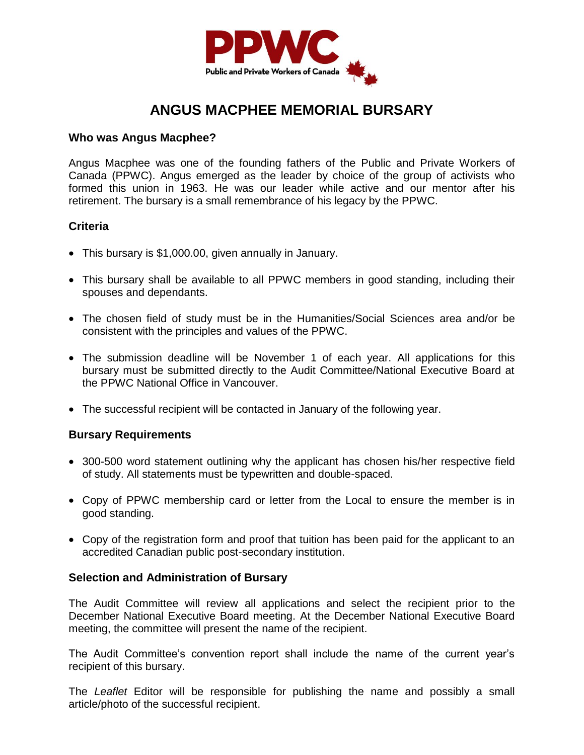

## **ANGUS MACPHEE MEMORIAL BURSARY**

#### **Who was Angus Macphee?**

Angus Macphee was one of the founding fathers of the Public and Private Workers of Canada (PPWC). Angus emerged as the leader by choice of the group of activists who formed this union in 1963. He was our leader while active and our mentor after his retirement. The bursary is a small remembrance of his legacy by the PPWC.

#### **Criteria**

- This bursary is \$1,000.00, given annually in January.
- This bursary shall be available to all PPWC members in good standing, including their spouses and dependants.
- The chosen field of study must be in the Humanities/Social Sciences area and/or be consistent with the principles and values of the PPWC.
- The submission deadline will be November 1 of each year. All applications for this bursary must be submitted directly to the Audit Committee/National Executive Board at the PPWC National Office in Vancouver.
- The successful recipient will be contacted in January of the following year.

### **Bursary Requirements**

- 300-500 word statement outlining why the applicant has chosen his/her respective field of study. All statements must be typewritten and double-spaced.
- Copy of PPWC membership card or letter from the Local to ensure the member is in good standing.
- Copy of the registration form and proof that tuition has been paid for the applicant to an accredited Canadian public post-secondary institution.

### **Selection and Administration of Bursary**

The Audit Committee will review all applications and select the recipient prior to the December National Executive Board meeting. At the December National Executive Board meeting, the committee will present the name of the recipient.

The Audit Committee's convention report shall include the name of the current year's recipient of this bursary.

The *Leaflet* Editor will be responsible for publishing the name and possibly a small article/photo of the successful recipient.